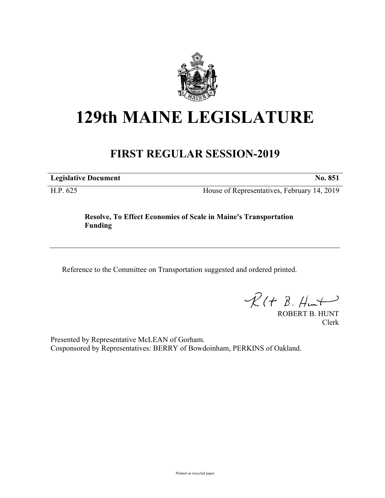

## **129th MAINE LEGISLATURE**

## **FIRST REGULAR SESSION-2019**

**Legislative Document No. 851**

H.P. 625 House of Representatives, February 14, 2019

## **Resolve, To Effect Economies of Scale in Maine's Transportation Funding**

Reference to the Committee on Transportation suggested and ordered printed.

 $R(H B. H<sub>un</sub>+)$ 

ROBERT B. HUNT Clerk

Presented by Representative McLEAN of Gorham. Cosponsored by Representatives: BERRY of Bowdoinham, PERKINS of Oakland.